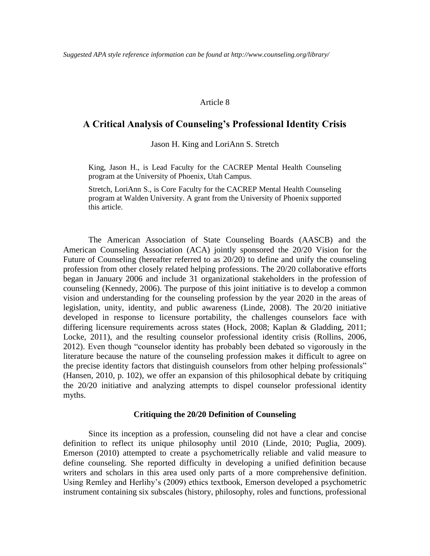#### Article 8

# **A Critical Analysis of Counseling's Professional Identity Crisis**

Jason H. King and LoriAnn S. Stretch

King, Jason H., is Lead Faculty for the CACREP Mental Health Counseling program at the University of Phoenix, Utah Campus.

Stretch, LoriAnn S., is Core Faculty for the CACREP Mental Health Counseling program at Walden University. A grant from the University of Phoenix supported this article.

The American Association of State Counseling Boards (AASCB) and the American Counseling Association (ACA) jointly sponsored the 20/20 Vision for the Future of Counseling (hereafter referred to as 20/20) to define and unify the counseling profession from other closely related helping professions. The 20/20 collaborative efforts began in January 2006 and include 31 organizational stakeholders in the profession of counseling (Kennedy, 2006). The purpose of this joint initiative is to develop a common vision and understanding for the counseling profession by the year 2020 in the areas of legislation, unity, identity, and public awareness (Linde, 2008). The 20/20 initiative developed in response to licensure portability, the challenges counselors face with differing licensure requirements across states (Hock, 2008; Kaplan & Gladding, 2011; Locke, 2011), and the resulting counselor professional identity crisis (Rollins, 2006, 2012). Even though "counselor identity has probably been debated so vigorously in the literature because the nature of the counseling profession makes it difficult to agree on the precise identity factors that distinguish counselors from other helping professionals" (Hansen, 2010, p. 102), we offer an expansion of this philosophical debate by critiquing the 20/20 initiative and analyzing attempts to dispel counselor professional identity myths.

#### **Critiquing the 20/20 Definition of Counseling**

Since its inception as a profession, counseling did not have a clear and concise definition to reflect its unique philosophy until 2010 (Linde, 2010; Puglia, 2009). Emerson (2010) attempted to create a psychometrically reliable and valid measure to define counseling. She reported difficulty in developing a unified definition because writers and scholars in this area used only parts of a more comprehensive definition. Using Remley and Herlihy's (2009) ethics textbook, Emerson developed a psychometric instrument containing six subscales (history, philosophy, roles and functions, professional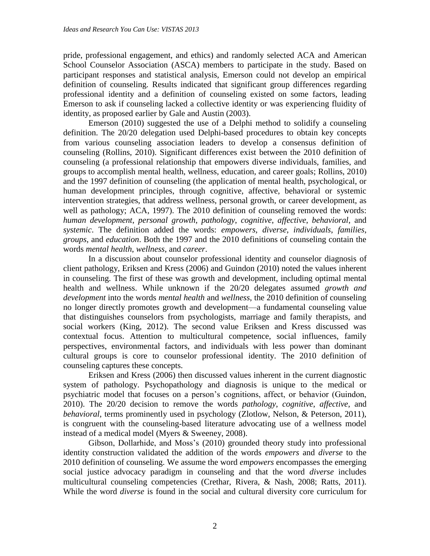pride, professional engagement, and ethics) and randomly selected ACA and American School Counselor Association (ASCA) members to participate in the study. Based on participant responses and statistical analysis, Emerson could not develop an empirical definition of counseling. Results indicated that significant group differences regarding professional identity and a definition of counseling existed on some factors, leading Emerson to ask if counseling lacked a collective identity or was experiencing fluidity of identity, as proposed earlier by Gale and Austin (2003).

Emerson (2010) suggested the use of a Delphi method to solidify a counseling definition. The 20/20 delegation used Delphi-based procedures to obtain key concepts from various counseling association leaders to develop a consensus definition of counseling (Rollins, 2010). Significant differences exist between the 2010 definition of counseling (a professional relationship that empowers diverse individuals, families, and groups to accomplish mental health, wellness, education, and career goals; Rollins, 2010) and the 1997 definition of counseling (the application of mental health, psychological, or human development principles, through cognitive, affective, behavioral or systemic intervention strategies, that address wellness, personal growth, or career development, as well as pathology; ACA, 1997). The 2010 definition of counseling removed the words: *human development*, *personal growth*, *pathology*, *cognitive*, *affective*, *behavioral*, and *systemic*. The definition added the words: *empowers*, *diverse*, *individuals*, *families*, *groups*, and *education*. Both the 1997 and the 2010 definitions of counseling contain the words *mental health*, *wellness*, and *career*.

In a discussion about counselor professional identity and counselor diagnosis of client pathology, Eriksen and Kress (2006) and Guindon (2010) noted the values inherent in counseling. The first of these was growth and development, including optimal mental health and wellness. While unknown if the 20/20 delegates assumed *growth and development* into the words *mental health* and *wellness*, the 2010 definition of counseling no longer directly promotes growth and development—a fundamental counseling value that distinguishes counselors from psychologists, marriage and family therapists, and social workers (King, 2012). The second value Eriksen and Kress discussed was contextual focus. Attention to multicultural competence, social influences, family perspectives, environmental factors, and individuals with less power than dominant cultural groups is core to counselor professional identity. The 2010 definition of counseling captures these concepts.

Eriksen and Kress (2006) then discussed values inherent in the current diagnostic system of pathology. Psychopathology and diagnosis is unique to the medical or psychiatric model that focuses on a person's cognitions, affect, or behavior (Guindon, 2010). The 20/20 decision to remove the words *pathology*, *cognitive*, *affective*, and *behavioral*, terms prominently used in psychology (Zlotlow, Nelson, & Peterson, 2011), is congruent with the counseling-based literature advocating use of a wellness model instead of a medical model (Myers & Sweeney, 2008).

Gibson, Dollarhide, and Moss's (2010) grounded theory study into professional identity construction validated the addition of the words *empowers* and *diverse* to the 2010 definition of counseling. We assume the word *empowers* encompasses the emerging social justice advocacy paradigm in counseling and that the word *diverse* includes multicultural counseling competencies (Crethar, Rivera, & Nash, 2008; Ratts, 2011). While the word *diverse* is found in the social and cultural diversity core curriculum for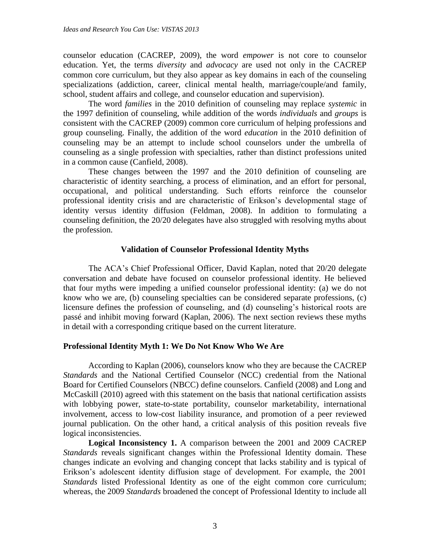counselor education (CACREP, 2009), the word *empower* is not core to counselor education. Yet, the terms *diversity* and *advocacy* are used not only in the CACREP common core curriculum, but they also appear as key domains in each of the counseling specializations (addiction, career, clinical mental health, marriage/couple/and family, school, student affairs and college, and counselor education and supervision).

The word *families* in the 2010 definition of counseling may replace *systemic* in the 1997 definition of counseling, while addition of the words *individuals* and *groups* is consistent with the CACREP (2009) common core curriculum of helping professions and group counseling. Finally, the addition of the word *education* in the 2010 definition of counseling may be an attempt to include school counselors under the umbrella of counseling as a single profession with specialties, rather than distinct professions united in a common cause (Canfield, 2008).

These changes between the 1997 and the 2010 definition of counseling are characteristic of identity searching, a process of elimination, and an effort for personal, occupational, and political understanding. Such efforts reinforce the counselor professional identity crisis and are characteristic of Erikson's developmental stage of identity versus identity diffusion (Feldman, 2008). In addition to formulating a counseling definition, the 20/20 delegates have also struggled with resolving myths about the profession.

#### **Validation of Counselor Professional Identity Myths**

The ACA's Chief Professional Officer, David Kaplan, noted that 20/20 delegate conversation and debate have focused on counselor professional identity. He believed that four myths were impeding a unified counselor professional identity: (a) we do not know who we are, (b) counseling specialties can be considered separate professions, (c) licensure defines the profession of counseling, and (d) counseling's historical roots are passé and inhibit moving forward (Kaplan, 2006). The next section reviews these myths in detail with a corresponding critique based on the current literature.

#### **Professional Identity Myth 1: We Do Not Know Who We Are**

According to Kaplan (2006), counselors know who they are because the CACREP *Standards* and the National Certified Counselor (NCC) credential from the National Board for Certified Counselors (NBCC) define counselors. Canfield (2008) and Long and McCaskill (2010) agreed with this statement on the basis that national certification assists with lobbying power, state-to-state portability, counselor marketability, international involvement, access to low-cost liability insurance, and promotion of a peer reviewed journal publication. On the other hand, a critical analysis of this position reveals five logical inconsistencies.

**Logical Inconsistency 1.** A comparison between the 2001 and 2009 CACREP *Standards* reveals significant changes within the Professional Identity domain. These changes indicate an evolving and changing concept that lacks stability and is typical of Erikson's adolescent identity diffusion stage of development. For example, the 2001 *Standards* listed Professional Identity as one of the eight common core curriculum; whereas, the 2009 *Standards* broadened the concept of Professional Identity to include all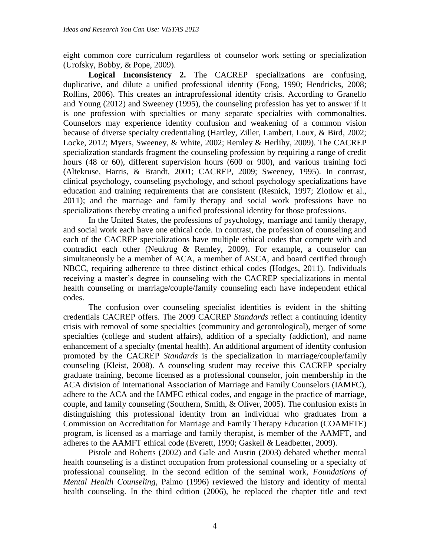eight common core curriculum regardless of counselor work setting or specialization (Urofsky, Bobby, & Pope, 2009).

**Logical Inconsistency 2.** The CACREP specializations are confusing, duplicative, and dilute a unified professional identity (Fong, 1990; Hendricks, 2008; Rollins, 2006). This creates an intraprofessional identity crisis. According to Granello and Young (2012) and Sweeney (1995), the counseling profession has yet to answer if it is one profession with specialties or many separate specialties with commonalties. Counselors may experience identity confusion and weakening of a common vision because of diverse specialty credentialing (Hartley, Ziller, Lambert, Loux, & Bird, 2002; Locke, 2012; Myers, Sweeney, & White, 2002; Remley & Herlihy, 2009). The CACREP specialization standards fragment the counseling profession by requiring a range of credit hours (48 or 60), different supervision hours (600 or 900), and various training foci (Altekruse, Harris, & Brandt, 2001; CACREP, 2009; Sweeney, 1995). In contrast, clinical psychology, counseling psychology, and school psychology specializations have education and training requirements that are consistent (Resnick, 1997; Zlotlow et al., 2011); and the marriage and family therapy and social work professions have no specializations thereby creating a unified professional identity for those professions.

In the United States, the professions of psychology, marriage and family therapy, and social work each have one ethical code. In contrast, the profession of counseling and each of the CACREP specializations have multiple ethical codes that compete with and contradict each other (Neukrug & Remley, 2009). For example, a counselor can simultaneously be a member of ACA, a member of ASCA, and board certified through NBCC, requiring adherence to three distinct ethical codes (Hodges, 2011). Individuals receiving a master's degree in counseling with the CACREP specializations in mental health counseling or marriage/couple/family counseling each have independent ethical codes.

The confusion over counseling specialist identities is evident in the shifting credentials CACREP offers. The 2009 CACREP *Standards* reflect a continuing identity crisis with removal of some specialties (community and gerontological), merger of some specialties (college and student affairs), addition of a specialty (addiction), and name enhancement of a specialty (mental health). An additional argument of identity confusion promoted by the CACREP *Standards* is the specialization in marriage/couple/family counseling (Kleist, 2008). A counseling student may receive this CACREP specialty graduate training, become licensed as a professional counselor, join membership in the ACA division of International Association of Marriage and Family Counselors (IAMFC), adhere to the ACA and the IAMFC ethical codes, and engage in the practice of marriage, couple, and family counseling (Southern, Smith, & Oliver, 2005). The confusion exists in distinguishing this professional identity from an individual who graduates from a Commission on Accreditation for Marriage and Family Therapy Education (COAMFTE) program, is licensed as a marriage and family therapist, is member of the AAMFT, and adheres to the AAMFT ethical code (Everett, 1990; Gaskell & Leadbetter, 2009).

Pistole and Roberts (2002) and Gale and Austin (2003) debated whether mental health counseling is a distinct occupation from professional counseling or a specialty of professional counseling. In the second edition of the seminal work, *Foundations of Mental Health Counseling*, Palmo (1996) reviewed the history and identity of mental health counseling. In the third edition (2006), he replaced the chapter title and text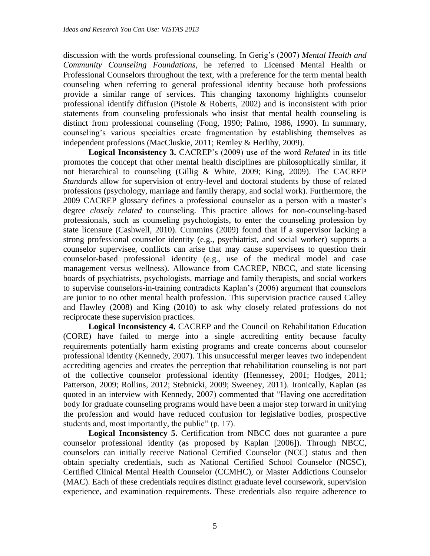discussion with the words professional counseling. In Gerig's (2007) *Mental Health and Community Counseling Foundations*, he referred to Licensed Mental Health or Professional Counselors throughout the text, with a preference for the term mental health counseling when referring to general professional identity because both professions provide a similar range of services. This changing taxonomy highlights counselor professional identify diffusion (Pistole & Roberts, 2002) and is inconsistent with prior statements from counseling professionals who insist that mental health counseling is distinct from professional counseling (Fong, 1990; Palmo, 1986, 1990). In summary, counseling's various specialties create fragmentation by establishing themselves as independent professions (MacCluskie, 2011; Remley & Herlihy, 2009).

**Logical Inconsistency 3.** CACREP's (2009) use of the word *Related* in its title promotes the concept that other mental health disciplines are philosophically similar, if not hierarchical to counseling (Gillig & White, 2009; King, 2009). The CACREP *Standards* allow for supervision of entry-level and doctoral students by those of related professions (psychology, marriage and family therapy, and social work). Furthermore, the 2009 CACREP glossary defines a professional counselor as a person with a master's degree *closely related* to counseling. This practice allows for non-counseling-based professionals, such as counseling psychologists, to enter the counseling profession by state licensure (Cashwell, 2010). Cummins (2009) found that if a supervisor lacking a strong professional counselor identity (e.g., psychiatrist, and social worker) supports a counselor supervisee, conflicts can arise that may cause supervisees to question their counselor-based professional identity (e.g., use of the medical model and case management versus wellness). Allowance from CACREP, NBCC, and state licensing boards of psychiatrists, psychologists, marriage and family therapists, and social workers to supervise counselors-in-training contradicts Kaplan's (2006) argument that counselors are junior to no other mental health profession. This supervision practice caused Calley and Hawley (2008) and King (2010) to ask why closely related professions do not reciprocate these supervision practices.

**Logical Inconsistency 4.** CACREP and the Council on Rehabilitation Education (CORE) have failed to merge into a single accrediting entity because faculty requirements potentially harm existing programs and create concerns about counselor professional identity (Kennedy, 2007). This unsuccessful merger leaves two independent accrediting agencies and creates the perception that rehabilitation counseling is not part of the collective counselor professional identity (Hennessey, 2001; Hodges, 2011; Patterson, 2009; Rollins, 2012; Stebnicki, 2009; Sweeney, 2011). Ironically, Kaplan (as quoted in an interview with Kennedy, 2007) commented that "Having one accreditation body for graduate counseling programs would have been a major step forward in unifying the profession and would have reduced confusion for legislative bodies, prospective students and, most importantly, the public" (p. 17).

**Logical Inconsistency 5.** Certification from NBCC does not guarantee a pure counselor professional identity (as proposed by Kaplan [2006]). Through NBCC, counselors can initially receive National Certified Counselor (NCC) status and then obtain specialty credentials, such as National Certified School Counselor (NCSC), Certified Clinical Mental Health Counselor (CCMHC), or Master Addictions Counselor (MAC). Each of these credentials requires distinct graduate level coursework, supervision experience, and examination requirements. These credentials also require adherence to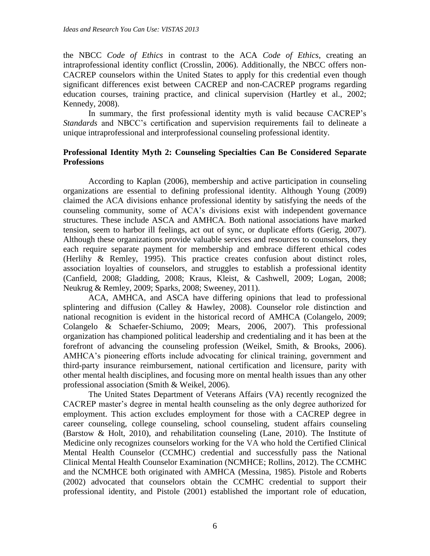the NBCC *Code of Ethics* in contrast to the ACA *Code of Ethics*, creating an intraprofessional identity conflict (Crosslin, 2006). Additionally, the NBCC offers non-CACREP counselors within the United States to apply for this credential even though significant differences exist between CACREP and non-CACREP programs regarding education courses, training practice, and clinical supervision (Hartley et al., 2002; Kennedy, 2008).

In summary, the first professional identity myth is valid because CACREP's *Standards* and NBCC's certification and supervision requirements fail to delineate a unique intraprofessional and interprofessional counseling professional identity.

# **Professional Identity Myth 2: Counseling Specialties Can Be Considered Separate Professions**

According to Kaplan (2006), membership and active participation in counseling organizations are essential to defining professional identity. Although Young (2009) claimed the ACA divisions enhance professional identity by satisfying the needs of the counseling community, some of ACA's divisions exist with independent governance structures. These include ASCA and AMHCA. Both national associations have marked tension, seem to harbor ill feelings, act out of sync, or duplicate efforts (Gerig, 2007). Although these organizations provide valuable services and resources to counselors, they each require separate payment for membership and embrace different ethical codes (Herlihy & Remley, 1995). This practice creates confusion about distinct roles, association loyalties of counselors, and struggles to establish a professional identity (Canfield, 2008; Gladding, 2008; Kraus, Kleist, & Cashwell, 2009; Logan, 2008; Neukrug & Remley, 2009; Sparks, 2008; Sweeney, 2011).

ACA, AMHCA, and ASCA have differing opinions that lead to professional splintering and diffusion (Calley & Hawley, 2008). Counselor role distinction and national recognition is evident in the historical record of AMHCA (Colangelo, 2009; Colangelo & Schaefer-Schiumo, 2009; Mears, 2006, 2007). This professional organization has championed political leadership and credentialing and it has been at the forefront of advancing the counseling profession (Weikel, Smith, & Brooks, 2006). AMHCA's pioneering efforts include advocating for clinical training, government and third-party insurance reimbursement, national certification and licensure, parity with other mental health disciplines, and focusing more on mental health issues than any other professional association (Smith & Weikel, 2006).

The United States Department of Veterans Affairs (VA) recently recognized the CACREP master's degree in mental health counseling as the only degree authorized for employment. This action excludes employment for those with a CACREP degree in career counseling, college counseling, school counseling, student affairs counseling (Barstow & Holt, 2010), and rehabilitation counseling (Lane, 2010). The Institute of Medicine only recognizes counselors working for the VA who hold the Certified Clinical Mental Health Counselor (CCMHC) credential and successfully pass the National Clinical Mental Health Counselor Examination (NCMHCE; Rollins, 2012). The CCMHC and the NCMHCE both originated with AMHCA (Messina, 1985). Pistole and Roberts (2002) advocated that counselors obtain the CCMHC credential to support their professional identity, and Pistole (2001) established the important role of education,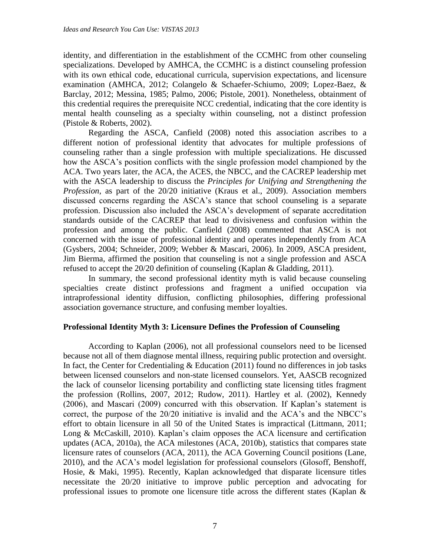identity, and differentiation in the establishment of the CCMHC from other counseling specializations. Developed by AMHCA, the CCMHC is a distinct counseling profession with its own ethical code, educational curricula, supervision expectations, and licensure examination (AMHCA, 2012; Colangelo & Schaefer-Schiumo, 2009; Lopez-Baez, & Barclay, 2012; Messina, 1985; Palmo, 2006; Pistole, 2001). Nonetheless, obtainment of this credential requires the prerequisite NCC credential, indicating that the core identity is mental health counseling as a specialty within counseling, not a distinct profession (Pistole & Roberts, 2002).

Regarding the ASCA, Canfield (2008) noted this association ascribes to a different notion of professional identity that advocates for multiple professions of counseling rather than a single profession with multiple specializations. He discussed how the ASCA's position conflicts with the single profession model championed by the ACA. Two years later, the ACA, the ACES, the NBCC, and the CACREP leadership met with the ASCA leadership to discuss the *Principles for Unifying and Strengthening the Profession*, as part of the 20/20 initiative (Kraus et al., 2009). Association members discussed concerns regarding the ASCA's stance that school counseling is a separate profession. Discussion also included the ASCA's development of separate accreditation standards outside of the CACREP that lead to divisiveness and confusion within the profession and among the public. Canfield (2008) commented that ASCA is not concerned with the issue of professional identity and operates independently from ACA (Gysbers, 2004; Schneider, 2009; Webber & Mascari, 2006). In 2009, ASCA president, Jim Bierma, affirmed the position that counseling is not a single profession and ASCA refused to accept the 20/20 definition of counseling (Kaplan & Gladding, 2011).

In summary, the second professional identity myth is valid because counseling specialties create distinct professions and fragment a unified occupation via intraprofessional identity diffusion, conflicting philosophies, differing professional association governance structure, and confusing member loyalties.

#### **Professional Identity Myth 3: Licensure Defines the Profession of Counseling**

According to Kaplan (2006), not all professional counselors need to be licensed because not all of them diagnose mental illness, requiring public protection and oversight. In fact, the Center for Credentialing & Education (2011) found no differences in job tasks between licensed counselors and non-state licensed counselors. Yet, AASCB recognized the lack of counselor licensing portability and conflicting state licensing titles fragment the profession (Rollins, 2007, 2012; Rudow, 2011). Hartley et al. (2002), Kennedy (2006), and Mascari (2009) concurred with this observation. If Kaplan's statement is correct, the purpose of the 20/20 initiative is invalid and the ACA's and the NBCC's effort to obtain licensure in all 50 of the United States is impractical (Littmann, 2011; Long & McCaskill, 2010). Kaplan's claim opposes the ACA licensure and certification updates (ACA, 2010a), the ACA milestones (ACA, 2010b), statistics that compares state licensure rates of counselors (ACA, 2011), the ACA Governing Council positions (Lane, 2010), and the ACA's model legislation for professional counselors (Glosoff, Benshoff, Hosie, & Maki, 1995). Recently, Kaplan acknowledged that disparate licensure titles necessitate the 20/20 initiative to improve public perception and advocating for professional issues to promote one licensure title across the different states (Kaplan &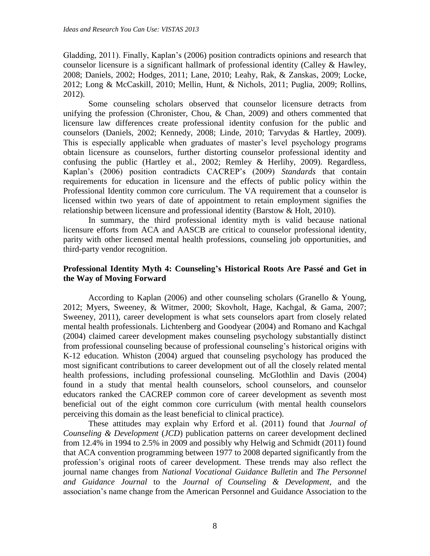Gladding, 2011). Finally, Kaplan's (2006) position contradicts opinions and research that counselor licensure is a significant hallmark of professional identity (Calley & Hawley, 2008; Daniels, 2002; Hodges, 2011; Lane, 2010; Leahy, Rak, & Zanskas, 2009; Locke, 2012; Long & McCaskill, 2010; Mellin, Hunt, & Nichols, 2011; Puglia, 2009; Rollins, 2012).

Some counseling scholars observed that counselor licensure detracts from unifying the profession (Chronister, Chou, & Chan, 2009) and others commented that licensure law differences create professional identity confusion for the public and counselors (Daniels, 2002; Kennedy, 2008; Linde, 2010; Tarvydas & Hartley, 2009). This is especially applicable when graduates of master's level psychology programs obtain licensure as counselors, further distorting counselor professional identity and confusing the public (Hartley et al., 2002; Remley & Herlihy, 2009). Regardless, Kaplan's (2006) position contradicts CACREP's (2009) *Standards* that contain requirements for education in licensure and the effects of public policy within the Professional Identity common core curriculum. The VA requirement that a counselor is licensed within two years of date of appointment to retain employment signifies the relationship between licensure and professional identity (Barstow & Holt, 2010).

In summary, the third professional identity myth is valid because national licensure efforts from ACA and AASCB are critical to counselor professional identity, parity with other licensed mental health professions, counseling job opportunities, and third-party vendor recognition.

# **Professional Identity Myth 4: Counseling's Historical Roots Are Passé and Get in the Way of Moving Forward**

According to Kaplan (2006) and other counseling scholars (Granello & Young, 2012; Myers, Sweeney, & Witmer, 2000; Skovholt, Hage, Kachgal, & Gama, 2007; Sweeney, 2011), career development is what sets counselors apart from closely related mental health professionals. Lichtenberg and Goodyear (2004) and Romano and Kachgal (2004) claimed career development makes counseling psychology substantially distinct from professional counseling because of professional counseling's historical origins with K-12 education. Whiston (2004) argued that counseling psychology has produced the most significant contributions to career development out of all the closely related mental health professions, including professional counseling. McGlothlin and Davis (2004) found in a study that mental health counselors, school counselors, and counselor educators ranked the CACREP common core of career development as seventh most beneficial out of the eight common core curriculum (with mental health counselors perceiving this domain as the least beneficial to clinical practice).

These attitudes may explain why Erford et al. (2011) found that *Journal of Counseling & Development* (*JCD*) publication patterns on career development declined from 12.4% in 1994 to 2.5% in 2009 and possibly why Helwig and Schmidt (2011) found that ACA convention programming between 1977 to 2008 departed significantly from the profession's original roots of career development. These trends may also reflect the journal name changes from *National Vocational Guidance Bulletin* and *The Personnel and Guidance Journal* to the *Journal of Counseling & Development*, and the association's name change from the American Personnel and Guidance Association to the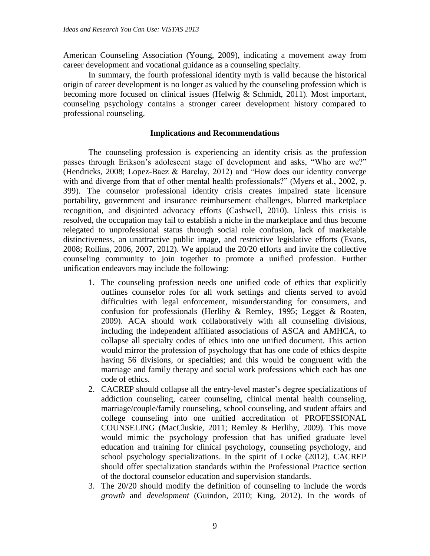American Counseling Association (Young, 2009), indicating a movement away from career development and vocational guidance as a counseling specialty.

In summary, the fourth professional identity myth is valid because the historical origin of career development is no longer as valued by the counseling profession which is becoming more focused on clinical issues (Helwig & Schmidt, 2011). Most important, counseling psychology contains a stronger career development history compared to professional counseling.

# **Implications and Recommendations**

The counseling profession is experiencing an identity crisis as the profession passes through Erikson's adolescent stage of development and asks, "Who are we?" (Hendricks, 2008; Lopez-Baez & Barclay, 2012) and "How does our identity converge with and diverge from that of other mental health professionals?" (Myers et al., 2002, p. 399). The counselor professional identity crisis creates impaired state licensure portability, government and insurance reimbursement challenges, blurred marketplace recognition, and disjointed advocacy efforts (Cashwell, 2010). Unless this crisis is resolved, the occupation may fail to establish a niche in the marketplace and thus become relegated to unprofessional status through social role confusion, lack of marketable distinctiveness, an unattractive public image, and restrictive legislative efforts (Evans, 2008; Rollins, 2006, 2007, 2012). We applaud the 20/20 efforts and invite the collective counseling community to join together to promote a unified profession. Further unification endeavors may include the following:

- 1. The counseling profession needs one unified code of ethics that explicitly outlines counselor roles for all work settings and clients served to avoid difficulties with legal enforcement, misunderstanding for consumers, and confusion for professionals (Herlihy & Remley, 1995; Legget & Roaten, 2009). ACA should work collaboratively with all counseling divisions, including the independent affiliated associations of ASCA and AMHCA, to collapse all specialty codes of ethics into one unified document. This action would mirror the profession of psychology that has one code of ethics despite having 56 divisions, or specialties; and this would be congruent with the marriage and family therapy and social work professions which each has one code of ethics.
- 2. CACREP should collapse all the entry-level master's degree specializations of addiction counseling, career counseling, clinical mental health counseling, marriage/couple/family counseling, school counseling, and student affairs and college counseling into one unified accreditation of PROFESSIONAL COUNSELING (MacCluskie, 2011; Remley & Herlihy, 2009). This move would mimic the psychology profession that has unified graduate level education and training for clinical psychology, counseling psychology, and school psychology specializations. In the spirit of Locke (2012), CACREP should offer specialization standards within the Professional Practice section of the doctoral counselor education and supervision standards.
- 3. The 20/20 should modify the definition of counseling to include the words *growth* and *development* (Guindon, 2010; King, 2012). In the words of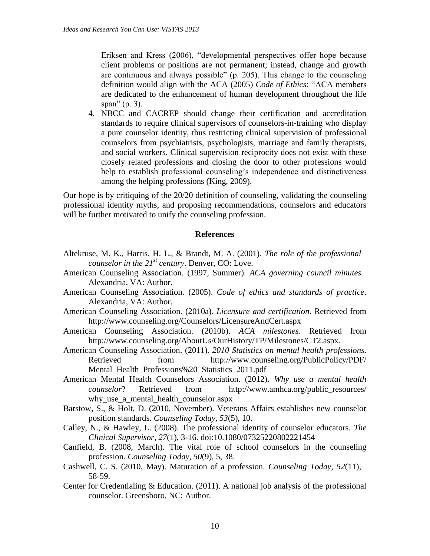Eriksen and Kress (2006), "developmental perspectives offer hope because client problems or positions are not permanent; instead, change and growth are continuous and always possible" (p. 205). This change to the counseling definition would align with the ACA (2005) *Code of Ethics*: "ACA members are dedicated to the enhancement of human development throughout the life span" (p. 3).

4. NBCC and CACREP should change their certification and accreditation standards to require clinical supervisors of counselors-in-training who display a pure counselor identity, thus restricting clinical supervision of professional counselors from psychiatrists, psychologists, marriage and family therapists, and social workers. Clinical supervision reciprocity does not exist with these closely related professions and closing the door to other professions would help to establish professional counseling's independence and distinctiveness among the helping professions (King, 2009).

Our hope is by critiquing of the 20/20 definition of counseling, validating the counseling professional identity myths, and proposing recommendations, counselors and educators will be further motivated to unify the counseling profession.

#### **References**

- Altekruse, M. K., Harris, H. L., & Brandt, M. A. (2001). *The role of the professional counselor in the 21st century*. Denver, CO: Love.
- American Counseling Association. (1997, Summer). *ACA governing council minutes* Alexandria, VA: Author.
- American Counseling Association. (2005). *Code of ethics and standards of practice*. Alexandria, VA: Author.
- American Counseling Association. (2010a). *Licensure and certification*. Retrieved from http://www.counseling.org/Counselors/LicensureAndCert.aspx
- American Counseling Association. (2010b). *ACA milestones*. Retrieved from http://www.counseling.org/AboutUs/OurHistory/TP/Milestones/CT2.aspx.
- American Counseling Association. (2011). *2010 Statistics on mental health professions*. Retrieved from http://www.counseling.org/PublicPolicy/PDF/ Mental\_Health\_Professions%20\_Statistics\_2011.pdf
- American Mental Health Counselors Association. (2012). *Why use a mental health counselor*? Retrieved from http://www.amhca.org/public\_resources/ why\_use\_a\_mental\_health\_counselor.aspx
- Barstow, S., & Holt, D. (2010, November). Veterans Affairs establishes new counselor position standards. *Counseling Today, 53*(5), 10.
- Calley, N., & Hawley, L. (2008). The professional identity of counselor educators. *The Clinical Supervisor*, *27*(1), 3-16. doi:10.1080/07325220802221454
- Canfield, B. (2008, March). The vital role of school counselors in the counseling profession. *Counseling Today, 50*(9), 5, 38.
- Cashwell, C. S. (2010, May). Maturation of a profession. *Counseling Today, 52*(11), 58-59.
- Center for Credentialing & Education. (2011). A national job analysis of the professional counselor. Greensboro, NC: Author.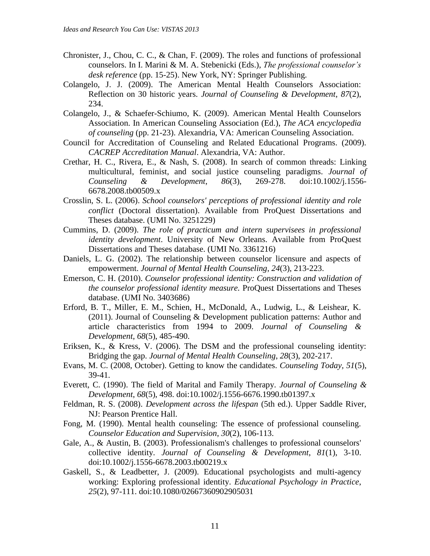- Chronister, J., Chou, C. C., & Chan, F. (2009). The roles and functions of professional counselors. In I. Marini & M. A. Stebenicki (Eds.), *The professional counselor's desk reference* (pp. 15-25). New York, NY: Springer Publishing.
- Colangelo, J. J. (2009). The American Mental Health Counselors Association: Reflection on 30 historic years. *Journal of Counseling & Development*, *87*(2), 234.
- Colangelo, J., & Schaefer-Schiumo, K. (2009). American Mental Health Counselors Association. In American Counseling Association (Ed.), *The ACA encyclopedia of counseling* (pp. 21-23). Alexandria, VA: American Counseling Association.
- Council for Accreditation of Counseling and Related Educational Programs. (2009). *CACREP Accreditation Manual*. Alexandria, VA: Author.
- Crethar, H. C., Rivera, E., & Nash, S. (2008). In search of common threads: Linking multicultural, feminist, and social justice counseling paradigms. *Journal of Counseling & Development*, *86*(3), 269-278. doi:10.1002/j.1556- 6678.2008.tb00509.x
- Crosslin, S. L. (2006). *School counselors' perceptions of professional identity and role conflict* (Doctoral dissertation). Available from ProQuest Dissertations and Theses database. (UMI No. 3251229)
- Cummins, D. (2009). *The role of practicum and intern supervisees in professional identity development*. University of New Orleans. Available from ProQuest Dissertations and Theses database. (UMI No. 3361216)
- Daniels, L. G. (2002). The relationship between counselor licensure and aspects of empowerment. *Journal of Mental Health Counseling*, *24*(3), 213-223.
- Emerson, C. H. (2010). *Counselor professional identity: Construction and validation of the counselor professional identity measure.* ProQuest Dissertations and Theses database. (UMI No. 3403686)
- Erford, B. T., Miller, E. M., Schien, H., McDonald, A., Ludwig, L., & Leishear, K. (2011). Journal of Counseling & Development publication patterns: Author and article characteristics from 1994 to 2009. *Journal of Counseling & Development*, *68*(5), 485-490.
- Eriksen, K., & Kress, V. (2006). The DSM and the professional counseling identity: Bridging the gap. *Journal of Mental Health Counseling*, *28*(3), 202-217.
- Evans, M. C. (2008, October). Getting to know the candidates. *Counseling Today, 51*(5), 39-41.
- Everett, C. (1990). The field of Marital and Family Therapy. *Journal of Counseling & Development*, *68*(5), 498. doi:10.1002/j.1556-6676.1990.tb01397.x
- Feldman, R. S. (2008). *Development across the lifespan* (5th ed.). Upper Saddle River, NJ: Pearson Prentice Hall.
- Fong, M. (1990). Mental health counseling: The essence of professional counseling. *Counselor Education and Supervision*, *30*(2), 106-113.
- Gale, A., & Austin, B. (2003). Professionalism's challenges to professional counselors' collective identity. *Journal of Counseling & Development*, *81*(1), 3-10. doi:10.1002/j.1556-6678.2003.tb00219.x
- Gaskell, S., & Leadbetter, J. (2009). Educational psychologists and multi-agency working: Exploring professional identity. *Educational Psychology in Practice*, *25*(2), 97-111. doi:10.1080/02667360902905031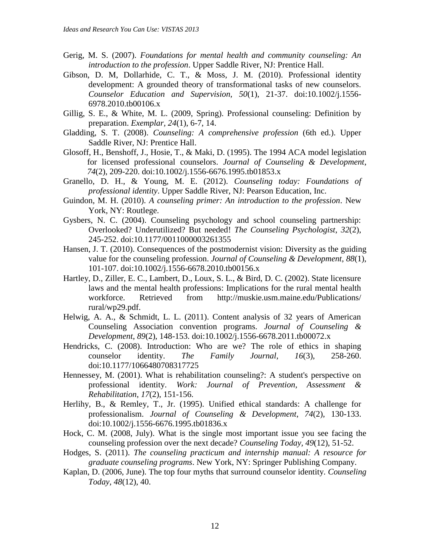- Gerig, M. S. (2007). *Foundations for mental health and community counseling: An introduction to the profession*. Upper Saddle River, NJ: Prentice Hall.
- Gibson, D. M, Dollarhide, C. T., & Moss, J. M. (2010). Professional identity development: A grounded theory of transformational tasks of new counselors. *Counselor Education and Supervision, 50*(1), 21-37. doi:10.1002/j.1556- 6978.2010.tb00106.x
- Gillig, S. E., & White, M. L. (2009, Spring). Professional counseling: Definition by preparation. *Exemplar, 24*(1), 6-7, 14.
- Gladding, S. T. (2008). *Counseling: A comprehensive profession* (6th ed.). Upper Saddle River, NJ: Prentice Hall.
- Glosoff, H., Benshoff, J., Hosie, T., & Maki, D. (1995). The 1994 ACA model legislation for licensed professional counselors. *Journal of Counseling & Development*, *74*(2), 209-220. doi:10.1002/j.1556-6676.1995.tb01853.x
- Granello, D. H., & Young, M. E. (2012). *Counseling today: Foundations of professional identity*. Upper Saddle River, NJ: Pearson Education, Inc.
- Guindon, M. H. (2010). *A counseling primer: An introduction to the profession*. New York, NY: Routlege.
- Gysbers, N. C. (2004). Counseling psychology and school counseling partnership: Overlooked? Underutilized? But needed! *The Counseling Psychologist*, *32*(2), 245-252. doi:10.1177/0011000003261355
- Hansen, J. T. (2010). Consequences of the postmodernist vision: Diversity as the guiding value for the counseling profession. *Journal of Counseling & Development*, *88*(1), 101-107. doi:10.1002/j.1556-6678.2010.tb00156.x
- Hartley, D., Ziller, E. C., Lambert, D., Loux, S. L., & Bird, D. C. (2002). State licensure laws and the mental health professions: Implications for the rural mental health workforce. Retrieved from http://muskie.usm.maine.edu/Publications/ rural/wp29.pdf.
- Helwig, A. A., & Schmidt, L. L. (2011). Content analysis of 32 years of American Counseling Association convention programs. *Journal of Counseling & Development*, *89*(2), 148-153. doi:10.1002/j.1556-6678.2011.tb00072.x
- Hendricks, C. (2008). Introduction: Who are we? The role of ethics in shaping counselor identity. *The Family Journal*, *16*(3), 258-260. doi:10.1177/1066480708317725
- Hennessey, M. (2001). What is rehabilitation counseling?: A student's perspective on professional identity. *Work: Journal of Prevention, Assessment & Rehabilitation*, *17*(2), 151-156.
- Herlihy, B., & Remley, T., Jr. (1995). Unified ethical standards: A challenge for professionalism. *Journal of Counseling & Development*, *74*(2), 130-133. doi:10.1002/j.1556-6676.1995.tb01836.x
- Hock, C. M. (2008, July). What is the single most important issue you see facing the counseling profession over the next decade? *Counseling Today, 49*(12), 51-52.
- Hodges, S. (2011). *The counseling practicum and internship manual: A resource for graduate counseling programs*. New York, NY: Springer Publishing Company.
- Kaplan, D. (2006, June). The top four myths that surround counselor identity. *Counseling Today, 48*(12), 40.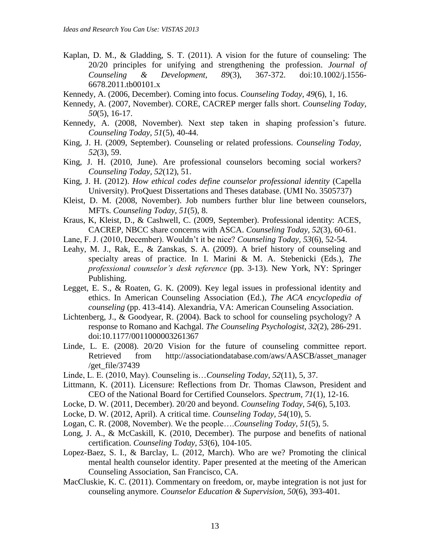- Kaplan, D. M., & Gladding, S. T. (2011). A vision for the future of counseling: The 20/20 principles for unifying and strengthening the profession. *Journal of Counseling & Development, 89*(3), 367-372. doi:10.1002/j.1556- 6678.2011.tb00101.x
- Kennedy, A. (2006, December). Coming into focus*. Counseling Today, 49*(6), 1, 16.
- Kennedy, A. (2007, November). CORE, CACREP merger falls short. *Counseling Today, 50*(5), 16-17.
- Kennedy, A. (2008, November). Next step taken in shaping profession's future*. Counseling Today, 51*(5), 40-44.
- King, J. H. (2009, September). Counseling or related professions. *Counseling Today, 52*(3), 59.
- King, J. H. (2010, June). Are professional counselors becoming social workers? *Counseling Today, 52*(12), 51.
- King, J. H. (2012). *How ethical codes define counselor professional identity* (Capella University). ProQuest Dissertations and Theses database. (UMI No. 3505737)
- Kleist, D. M. (2008, November). Job numbers further blur line between counselors, MFTs. *Counseling Today, 51*(5), 8.
- Kraus, K, Kleist, D., & Cashwell, C. (2009, September). Professional identity: ACES, CACREP, NBCC share concerns with ASCA. *Counseling Today, 52*(3), 60-61.
- Lane, F. J. (2010, December). Wouldn't it be nice? *Counseling Today, 53*(6), 52-54.
- Leahy, M. J., Rak, E., & Zanskas, S. A. (2009). A brief history of counseling and specialty areas of practice. In I. Marini & M. A. Stebenicki (Eds.), *The professional counselor's desk reference* (pp. 3-13). New York, NY: Springer Publishing.
- Legget, E. S., & Roaten, G. K. (2009). Key legal issues in professional identity and ethics. In American Counseling Association (Ed.), *The ACA encyclopedia of counseling* (pp. 413-414). Alexandria, VA: American Counseling Association.
- Lichtenberg, J., & Goodyear, R. (2004). Back to school for counseling psychology? A response to Romano and Kachgal. *The Counseling Psychologist*, *32*(2), 286-291. doi:10.1177/0011000003261367
- Linde, L. E. (2008). 20/20 Vision for the future of counseling committee report. Retrieved from http://associationdatabase.com/aws/AASCB/asset\_manager /get\_file/37439
- Linde, L. E. (2010, May). Counseling is…*Counseling Today, 52*(11), 5, 37.
- Littmann, K. (2011). Licensure: Reflections from Dr. Thomas Clawson, President and CEO of the National Board for Certified Counselors. *Spectrum, 71*(1), 12-16.
- Locke, D. W. (2011, December). 20/20 and beyond. *Counseling Today, 54*(6), 5,103.
- Locke, D. W. (2012, April). A critical time. *Counseling Today, 54*(10), 5.
- Logan, C. R. (2008, November). We the people….*Counseling Today, 51*(5), 5.
- Long, J. A., & McCaskill, K. (2010, December). The purpose and benefits of national certification. *Counseling Today, 53*(6), 104-105.
- Lopez-Baez, S. I., & Barclay, L. (2012, March). Who are we? Promoting the clinical mental health counselor identity. Paper presented at the meeting of the American Counseling Association, San Francisco, CA.
- MacCluskie, K. C. (2011). Commentary on freedom, or, maybe integration is not just for counseling anymore. *Counselor Education & Supervision, 50*(6), 393-401.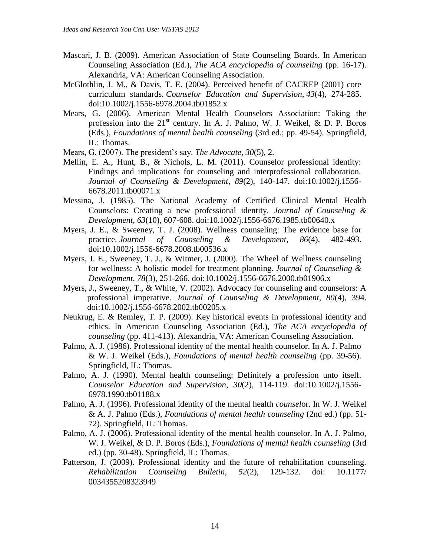- Mascari, J. B. (2009). American Association of State Counseling Boards. In American Counseling Association (Ed.), *The ACA encyclopedia of counseling* (pp. 16-17). Alexandria, VA: American Counseling Association.
- McGlothlin, J. M., & Davis, T. E. (2004). Perceived benefit of CACREP (2001) core curriculum standards. *Counselor Education and Supervision*, *43*(4), 274-285. doi:10.1002/j.1556-6978.2004.tb01852.x
- Mears, G. (2006). American Mental Health Counselors Association: Taking the profession into the  $21<sup>st</sup>$  century. In A. J. Palmo, W. J. Weikel, & D. P. Boros (Eds.), *Foundations of mental health counseling* (3rd ed.; pp. 49-54). Springfield, IL: Thomas.
- Mears, G. (2007). The president's say. *The Advocate, 30*(5), 2.
- Mellin, E. A., Hunt, B., & Nichols, L. M. (2011). Counselor professional identity: Findings and implications for counseling and interprofessional collaboration. *Journal of Counseling & Development*, *89*(2), 140-147. doi:10.1002/j.1556- 6678.2011.tb00071.x
- Messina, J. (1985). The National Academy of Certified Clinical Mental Health Counselors: Creating a new professional identity. *Journal of Counseling & Development*, *63*(10), 607-608. doi:10.1002/j.1556-6676.1985.tb00640.x
- Myers, J. E., & Sweeney, T. J. (2008). Wellness counseling: The evidence base for practice. *Journal of Counseling & Development*, *86*(4), 482-493. doi:10.1002/j.1556-6678.2008.tb00536.x
- Myers, J. E., Sweeney, T. J., & Witmer, J. (2000). The Wheel of Wellness counseling for wellness: A holistic model for treatment planning. *Journal of Counseling & Development*, *78*(3), 251-266. doi:10.1002/j.1556-6676.2000.tb01906.x
- Myers, J., Sweeney, T., & White, V. (2002). Advocacy for counseling and counselors: A professional imperative. *Journal of Counseling & Development*, *80*(4), 394. doi:10.1002/j.1556-6678.2002.tb00205.x
- Neukrug, E. & Remley, T. P. (2009). Key historical events in professional identity and ethics. In American Counseling Association (Ed.), *The ACA encyclopedia of counseling* (pp. 411-413). Alexandria, VA: American Counseling Association.
- Palmo, A. J. (1986). Professional identity of the mental health counselor. In A. J. Palmo & W. J. Weikel (Eds.), *Foundations of mental health counseling* (pp. 39-56). Springfield, IL: Thomas.
- Palmo, A. J. (1990). Mental health counseling: Definitely a profession unto itself. *Counselor Education and Supervision*, *30*(2), 114-119. doi:10.1002/j.1556- 6978.1990.tb01188.x
- Palmo, A. J. (1996). Professional identity of the mental health *counsel*or. In W. J. Weikel & A. J. Palmo (Eds.), *Foundations of mental health counseling* (2nd ed.) (pp. 51- 72). Springfield, IL: Thomas.
- Palmo, A. J. (2006). Professional identity of the mental health counselor. In A. J. Palmo, W. J. Weikel, & D. P. Boros (Eds.), *Foundations of mental health counseling* (3rd ed.) (pp. 30-48). Springfield, IL: Thomas.
- Patterson, J. (2009). Professional identity and the future of rehabilitation counseling. *Rehabilitation Counseling Bulletin*, *52*(2), 129-132. doi: 10.1177/ 0034355208323949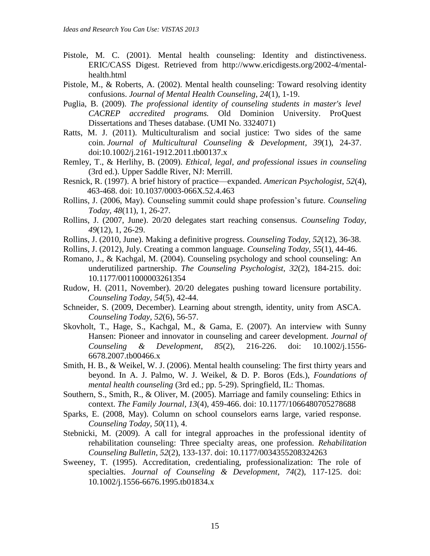- Pistole, M. C. (2001). Mental health counseling: Identity and distinctiveness. ERIC/CASS Digest. Retrieved from [http://www.ericdigests.org/2002-4/mental](http://www.ericdigests.org/2002-4/mental-health.html)[health.html](http://www.ericdigests.org/2002-4/mental-health.html)
- Pistole, M., & Roberts, A. (2002). Mental health counseling: Toward resolving identity confusions. *Journal of Mental Health Counseling*, *24*(1), 1-19.
- Puglia, B. (2009). *The professional identity of counseling students in master's level CACREP accredited programs.* Old Dominion University. ProQuest Dissertations and Theses database. (UMI No. 3324071)
- Ratts, M. J. (2011). Multiculturalism and social justice: Two sides of the same coin. *Journal of Multicultural Counseling & Development, 39*(1), 24-37. doi:10.1002/j.2161-1912.2011.tb00137.x
- Remley, T., & Herlihy, B. (2009). *Ethical, legal, and professional issues in counseling* (3rd ed.). Upper Saddle River, NJ: Merrill.
- Resnick, R. (1997). A brief history of practice—expanded. *American Psychologist*, *52*(4), 463-468. doi: 10.1037/0003-066X.52.4.463
- Rollins, J. (2006, May). Counseling summit could shape profession's future. *Counseling Today, 48*(11), 1, 26-27.
- Rollins, J. (2007, June). 20/20 delegates start reaching consensus. *Counseling Today, 49*(12), 1, 26-29.
- Rollins, J. (2010, June). Making a definitive progress. *Counseling Today, 52*(12), 36-38.
- Rollins, J. (2012), July. Creating a common language. *Counseling Today, 55*(1), 44-46.
- Romano, J., & Kachgal, M. (2004). Counseling psychology and school counseling: An underutilized partnership. *The Counseling Psychologist*, *32*(2), 184-215. doi: 10.1177/0011000003261354
- Rudow, H. (2011, November). 20/20 delegates pushing toward licensure portability. *Counseling Today, 54*(5), 42-44.
- Schneider, S. (2009, December). Learning about strength, identity, unity from ASCA. *Counseling Today, 52*(6), 56-57.
- Skovholt, T., Hage, S., Kachgal, M., & Gama, E. (2007). An interview with Sunny Hansen: Pioneer and innovator in counseling and career development. *Journal of Counseling & Development*, *85*(2), 216-226. doi: 10.1002/j.1556- 6678.2007.tb00466.x
- Smith, H. B., & Weikel, W. J. (2006). Mental health counseling: The first thirty years and beyond. In A. J. Palmo, W. J. Weikel, & D. P. Boros (Eds.), *Foundations of mental health counseling* (3rd ed.; pp. 5-29). Springfield, IL: Thomas.
- Southern, S., Smith, R., & Oliver, M. (2005). Marriage and family counseling: Ethics in context. *The Family Journal*, *13*(4), 459-466. doi: 10.1177/1066480705278688
- Sparks, E. (2008, May). Column on school counselors earns large, varied response. *Counseling Today, 50*(11), 4.
- Stebnicki, M. (2009). A call for integral approaches in the professional identity of rehabilitation counseling: Three specialty areas, one profession. *Rehabilitation Counseling Bulletin*, *52*(2), 133-137. doi: 10.1177/0034355208324263
- Sweeney, T. (1995). Accreditation, credentialing, professionalization: The role of specialties. *Journal of Counseling & Development*, *74*(2), 117-125. doi: 10.1002/j.1556-6676.1995.tb01834.x